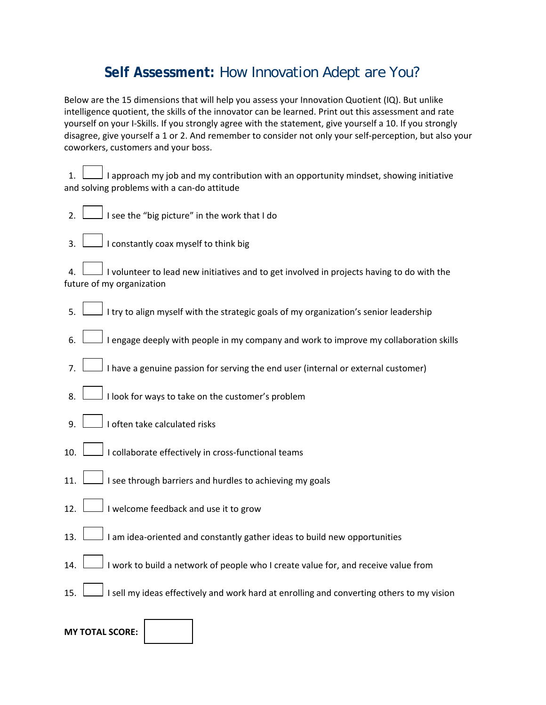## **Self Assessment:** How Innovation Adept are You?

Below are the 15 dimensions that will help you assess your Innovation Quotient (IQ). But unlike intelligence quotient, the skills of the innovator can be learned. Print out this assessment and rate yourself on your I‐Skills. If you strongly agree with the statement, give yourself a 10. If you strongly disagree, give yourself a 1 or 2. And remember to consider not only your self‐perception, but also your coworkers, customers and your boss.

1.  $\Box$  I approach my job and my contribution with an opportunity mindset, showing initiative and solving problems with a can‐do attitude

- 2.  $\Box$  I see the "big picture" in the work that I do
- 3.  $\Box$  I constantly coax myself to think big

4.  $\Box$  I volunteer to lead new initiatives and to get involved in projects having to do with the future of my organization

- 5.  $\Box$  I try to align myself with the strategic goals of my organization's senior leadership
- 6.  $\Box$  I engage deeply with people in my company and work to improve my collaboration skills
- 7.  $\Box$  I have a genuine passion for serving the end user (internal or external customer)
- 8.  $\Box$  I look for ways to take on the customer's problem
- 9.  $\Box$  I often take calculated risks
- 10.  $\Box$  I collaborate effectively in cross-functional teams
- 11.  $\Box$  I see through barriers and hurdles to achieving my goals
- 12.  $\Box$  I welcome feedback and use it to grow
- 13. I I am idea-oriented and constantly gather ideas to build new opportunities
- 14. I work to build a network of people who I create value for, and receive value from
- 15. I I sell my ideas effectively and work hard at enrolling and converting others to my vision

| <b>MY TOTAL SCORE:</b> |  |
|------------------------|--|
|------------------------|--|